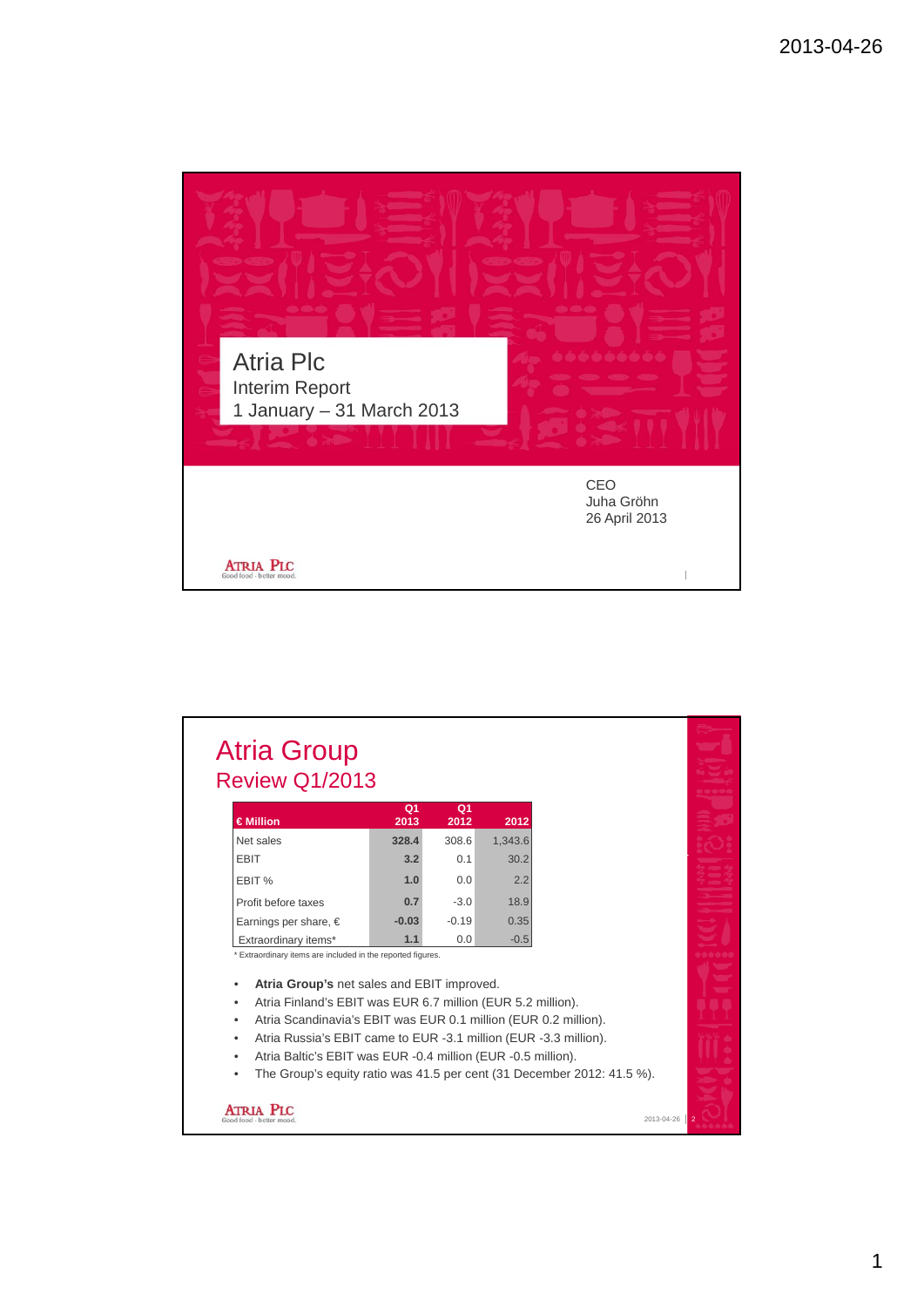

## Atria Group Review Q1/2013

| €Million                  | Q <sub>1</sub><br>2013 | Q <sub>1</sub><br>2012 | 2012    |
|---------------------------|------------------------|------------------------|---------|
|                           |                        |                        |         |
| Net sales                 | 328.4                  | 308.6                  | 1,343.6 |
| <b>EBIT</b>               | 3.2                    | 0.1                    | 30.2    |
| EBIT %                    | 1.0                    | 0.0                    | 2.2     |
| Profit before taxes       | 0.7                    | $-3.0$                 | 18.9    |
| Earnings per share, $\in$ | $-0.03$                | $-0.19$                | 0.35    |
| Extraordinary items*      | 1.1                    | 0.0                    | $-0.5$  |

\* Extraordinary items are included in the reported figures.

- **Atria Group's** net sales and EBIT improved.
- Atria Finland's EBIT was EUR 6.7 million (EUR 5.2 million).
- Atria Scandinavia's EBIT was EUR 0.1 million (EUR 0.2 million).
- Atria Russia's EBIT came to EUR -3.1 million (EUR -3.3 million).
- Atria Baltic's EBIT was EUR -0.4 million (EUR -0.5 million).
- The Group's equity ratio was 41.5 per cent (31 December 2012: 41.5 %).

**ATRIA PLC** 

2013-04-26 2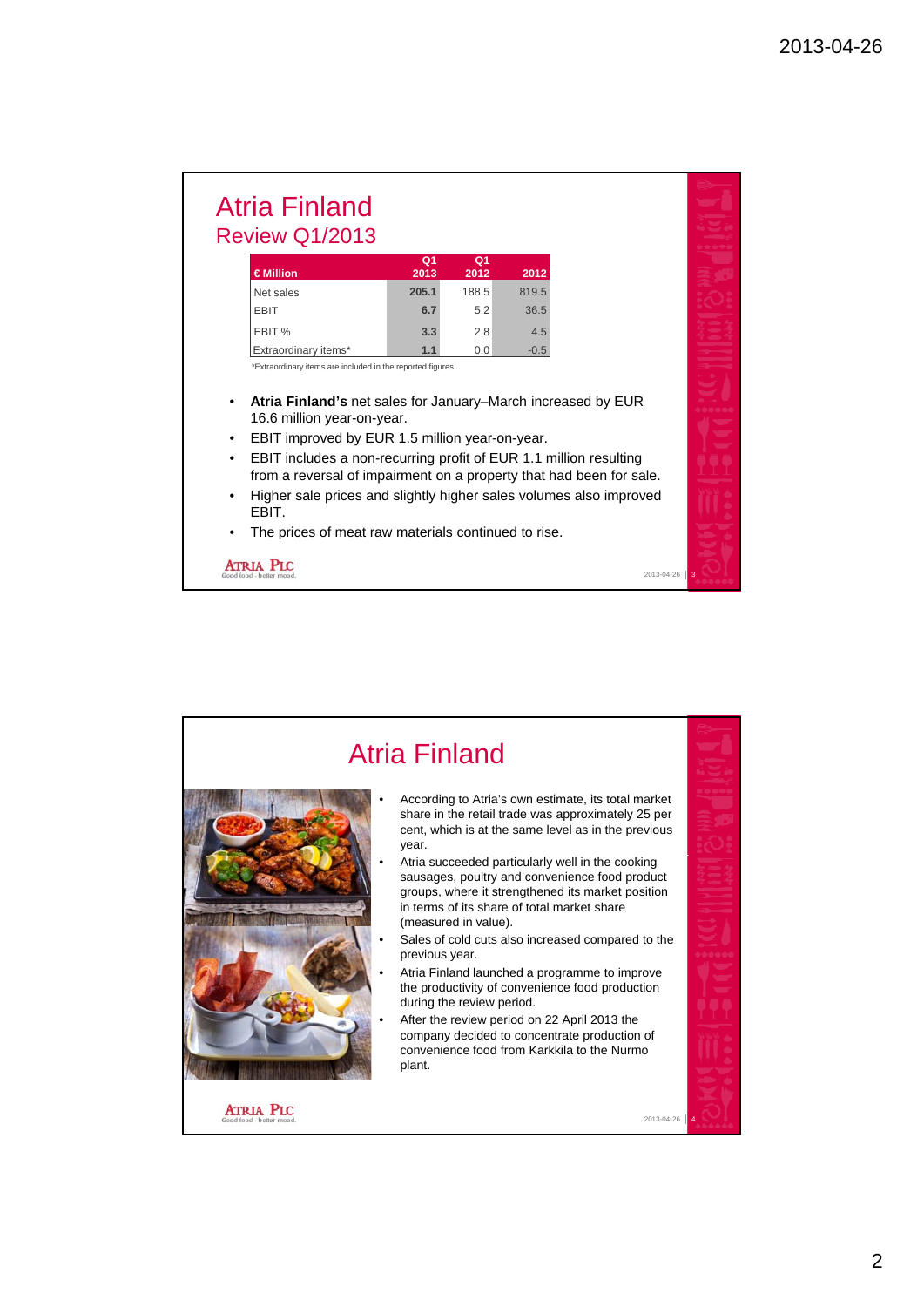### Atria Finland Review Q1/2013

|                      | Q <sub>1</sub> | Q <sub>1</sub> |        |
|----------------------|----------------|----------------|--------|
| €Million             | 2013           | 2012           | 2012   |
| Net sales            | 205.1          | 188.5          | 819.5  |
| EBIT                 | 6.7            | 5.2            | 36.5   |
| EBIT %               | 3.3            | 2.8            | 4.5    |
| Extraordinary items* | 1.1            | 0.0            | $-0.5$ |

\*Extraordinary items are included in the reported figures.

- **Atria Finland's** net sales for January–March increased by EUR 16.6 million year-on-year.
- EBIT improved by EUR 1.5 million year-on-year.
- EBIT includes a non-recurring profit of EUR 1.1 million resulting from a reversal of impairment on a property that had been for sale.
- Higher sale prices and slightly higher sales volumes also improved EBIT.

2013-04-26

The prices of meat raw materials continued to rise.

**ATRIA PLC** 

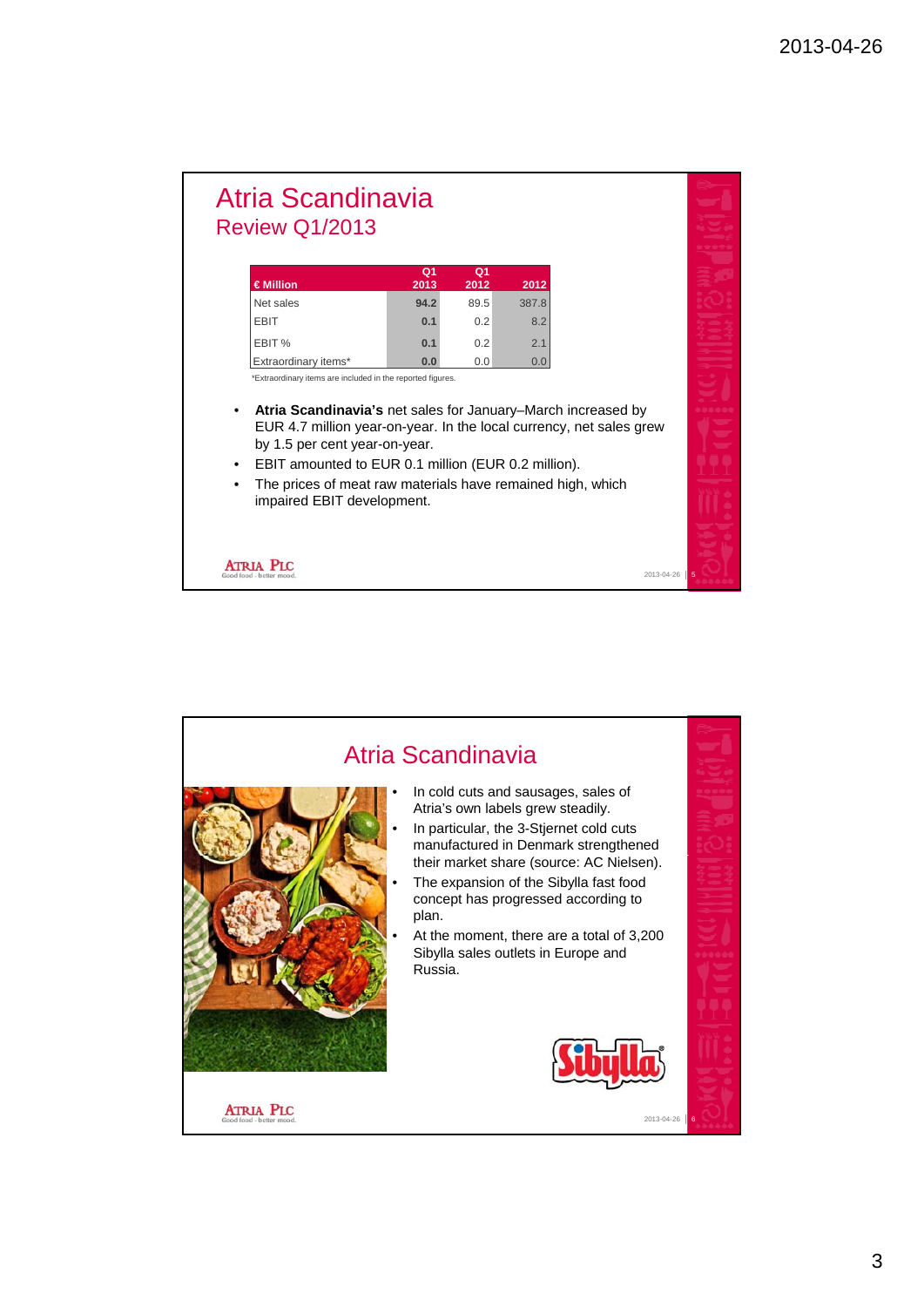#### Atria Scandinavia Review Q1/2013 **€ Million Q1 2013 Q1 2012 2012** Net sales **94.2** 89.5 387.8 EBIT **0.1** 0.2 8.2 EBIT % **0.1** 0.2 2.1 Extraordinary items\* **0.0** 0.0 0.0

\*Extraordinary items are included in the reported figures.

• **Atria Scandinavia's** net sales for January–March increased by EUR 4.7 million year-on-year. In the local currency, net sales grew by 1.5 per cent year-on-year.

2013-04-26

- EBIT amounted to EUR 0.1 million (EUR 0.2 million).
- The prices of meat raw materials have remained high, which impaired EBIT development.

**ATRIA PLC** 

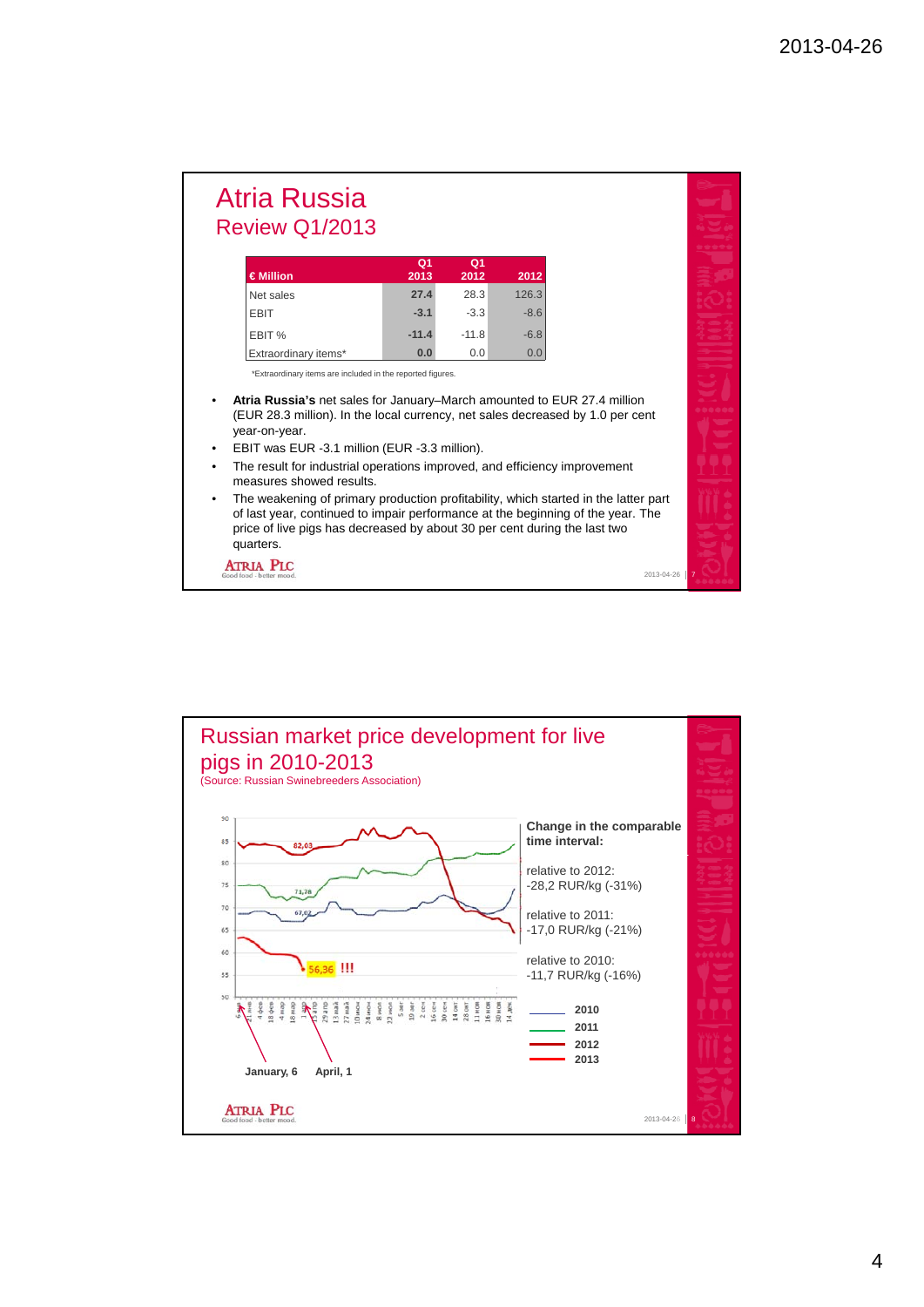| €Million             | Q1<br>2013 | Q1<br>2012 | 2012   |
|----------------------|------------|------------|--------|
| Net sales            | 27.4       | 28.3       | 126.3  |
| <b>EBIT</b>          | $-3.1$     | $-3.3$     | $-8.6$ |
| EBIT %               | $-11.4$    | $-11.8$    | $-6.8$ |
| Extraordinary items* | 0.0        | 0.0        | 0.0    |

- The result for industrial operations improved, and efficiency improvement measures showed results.
- The weakening of primary production profitability, which started in the latter part of last year, continued to impair performance at the beginning of the year. The price of live pigs has decreased by about 30 per cent during the last two quarters.

2013-04-26 7

**ATRIA PLC** 

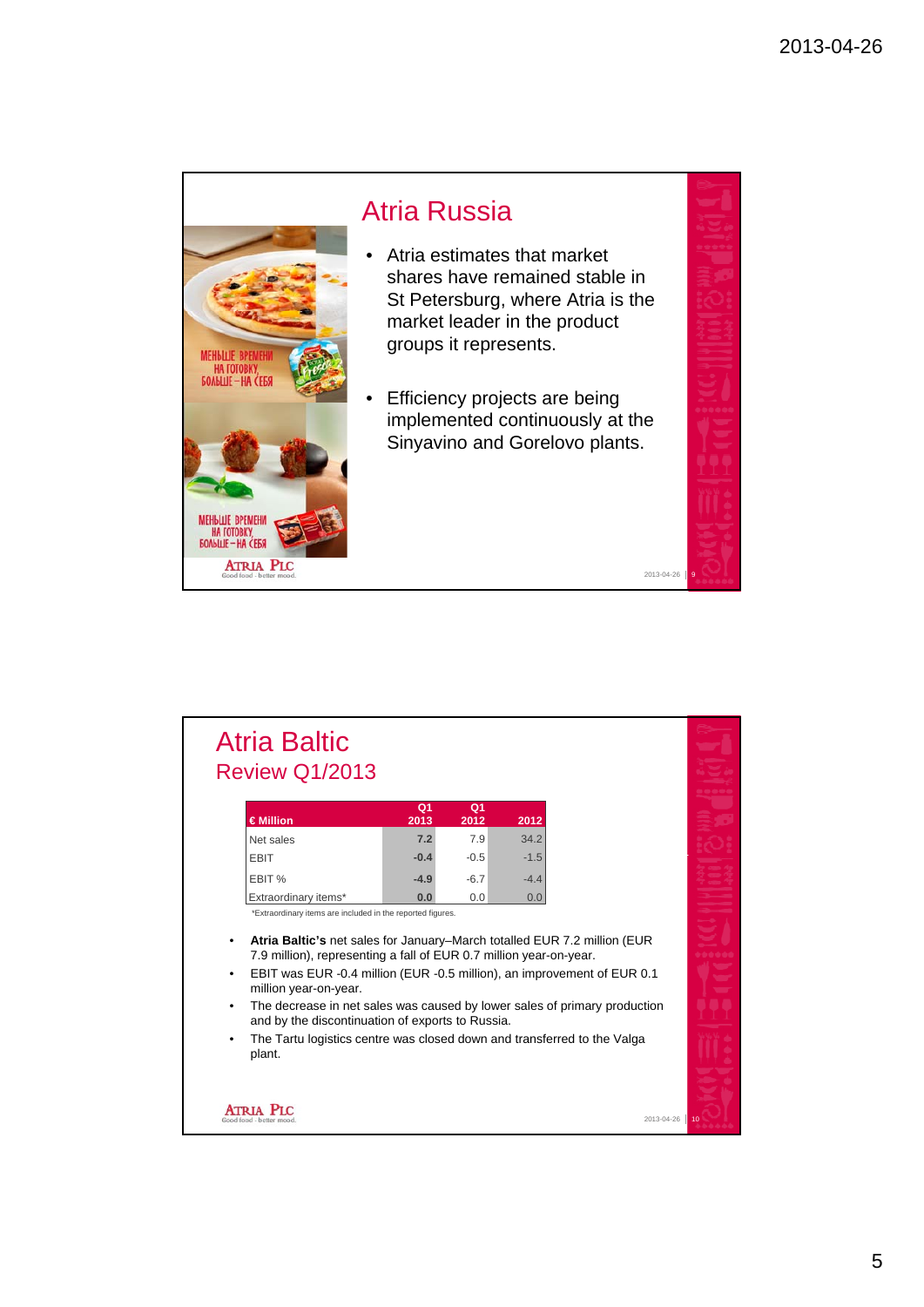

| <b>Atria Baltic</b>   |
|-----------------------|
| <b>Review Q1/2013</b> |

**ATRIA PLC** 

|                      | Q <sub>1</sub> | Q <sub>1</sub> |        |
|----------------------|----------------|----------------|--------|
| €Million             | 2013           | 2012           | 2012   |
| Net sales            | 7.2            | 7.9            | 34.2   |
| <b>EBIT</b>          | $-0.4$         | $-0.5$         | $-1.5$ |
| EBIT %               | $-4.9$         | $-6.7$         | $-4.4$ |
| Extraordinary items* | 0.0            | 0.0            | 0.0    |

\*Extraordinary items are included in the reported figures.

- **Atria Baltic's** net sales for January–March totalled EUR 7.2 million (EUR 7.9 million), representing a fall of EUR 0.7 million year-on-year.
- EBIT was EUR -0.4 million (EUR -0.5 million), an improvement of EUR 0.1 million year-on-year.
- The decrease in net sales was caused by lower sales of primary production and by the discontinuation of exports to Russia.
- The Tartu logistics centre was closed down and transferred to the Valga plant.

| Č                                                                                                                          |
|----------------------------------------------------------------------------------------------------------------------------|
|                                                                                                                            |
|                                                                                                                            |
| كالبارج                                                                                                                    |
|                                                                                                                            |
| <b>The Contract of the Contract of the Contract of The Contract of The Contract of The Contract of The Contract o</b><br>œ |
| <b>COLLE</b>                                                                                                               |
| - 7                                                                                                                        |
|                                                                                                                            |
|                                                                                                                            |
|                                                                                                                            |
|                                                                                                                            |
|                                                                                                                            |
|                                                                                                                            |
| eran.                                                                                                                      |
| a m<br>w                                                                                                                   |
| ۱<br>-                                                                                                                     |
|                                                                                                                            |
|                                                                                                                            |
|                                                                                                                            |
| à,<br>٠                                                                                                                    |
| $\frac{1}{2}$<br>٠                                                                                                         |
|                                                                                                                            |
| ٠                                                                                                                          |
|                                                                                                                            |
| −                                                                                                                          |
| <b>Security</b><br>۰                                                                                                       |
|                                                                                                                            |
| J<br>$\leftarrow$                                                                                                          |
| <b>STEP</b>                                                                                                                |
|                                                                                                                            |
| ---                                                                                                                        |
| ۰                                                                                                                          |
|                                                                                                                            |
| __                                                                                                                         |
|                                                                                                                            |
| ٠                                                                                                                          |
|                                                                                                                            |
|                                                                                                                            |
| ٠                                                                                                                          |
|                                                                                                                            |
| <b>COL</b>                                                                                                                 |
|                                                                                                                            |
| ∽                                                                                                                          |
| د ده                                                                                                                       |
|                                                                                                                            |
|                                                                                                                            |
| 000000                                                                                                                     |
|                                                                                                                            |
| S.                                                                                                                         |
|                                                                                                                            |
|                                                                                                                            |
| ۰                                                                                                                          |
|                                                                                                                            |
| ٠                                                                                                                          |
|                                                                                                                            |
|                                                                                                                            |
|                                                                                                                            |
|                                                                                                                            |
|                                                                                                                            |
|                                                                                                                            |
|                                                                                                                            |
| ــ                                                                                                                         |
|                                                                                                                            |
|                                                                                                                            |
| ٠                                                                                                                          |
|                                                                                                                            |
|                                                                                                                            |
| Ĭ<br>Ï<br>٠                                                                                                                |
| ,,,                                                                                                                        |
| ٠                                                                                                                          |
|                                                                                                                            |
|                                                                                                                            |
| ٠                                                                                                                          |
| a ma                                                                                                                       |
| ۰                                                                                                                          |
| $\overline{\phantom{a}}$<br>۹                                                                                              |

2013-04-26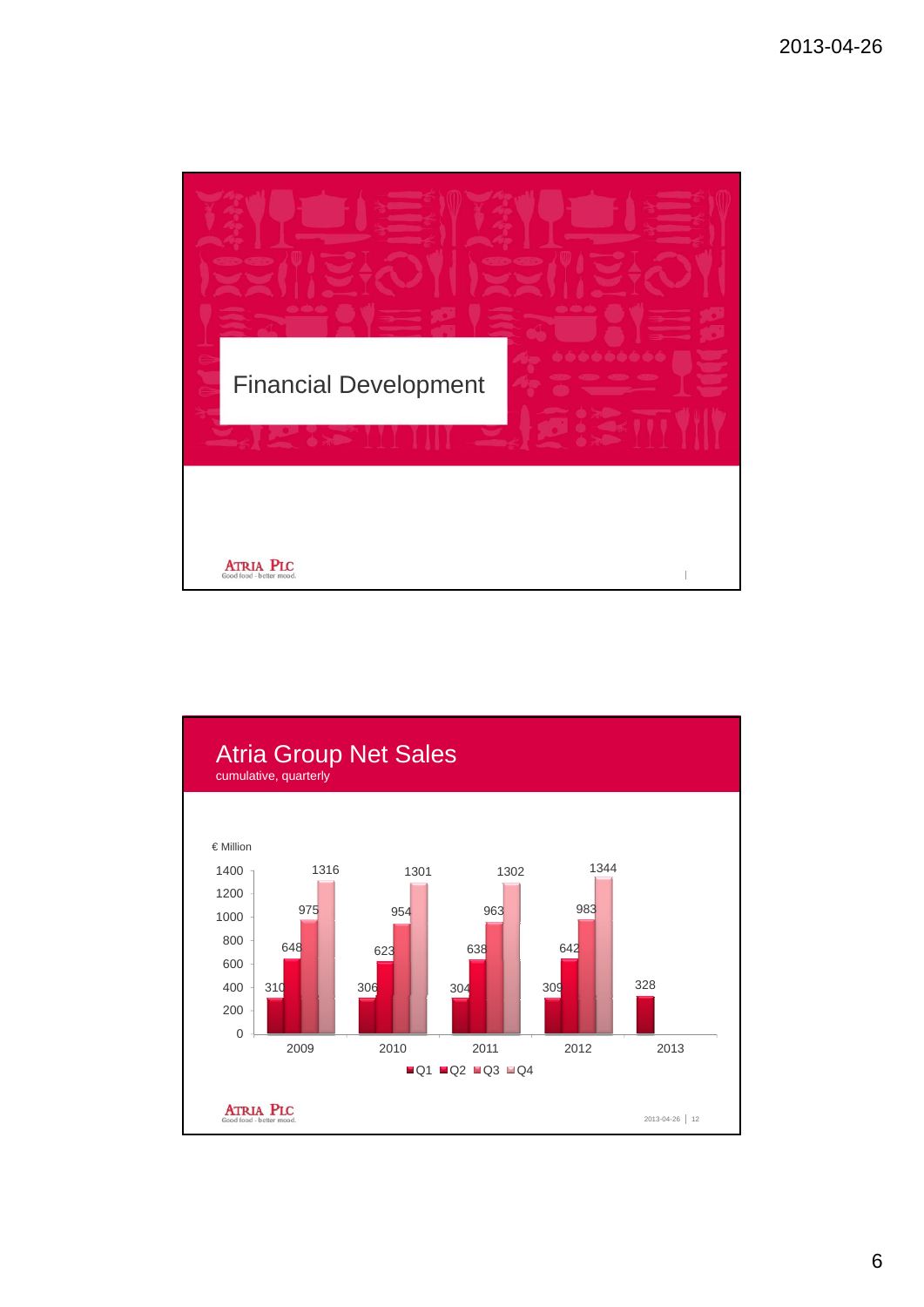

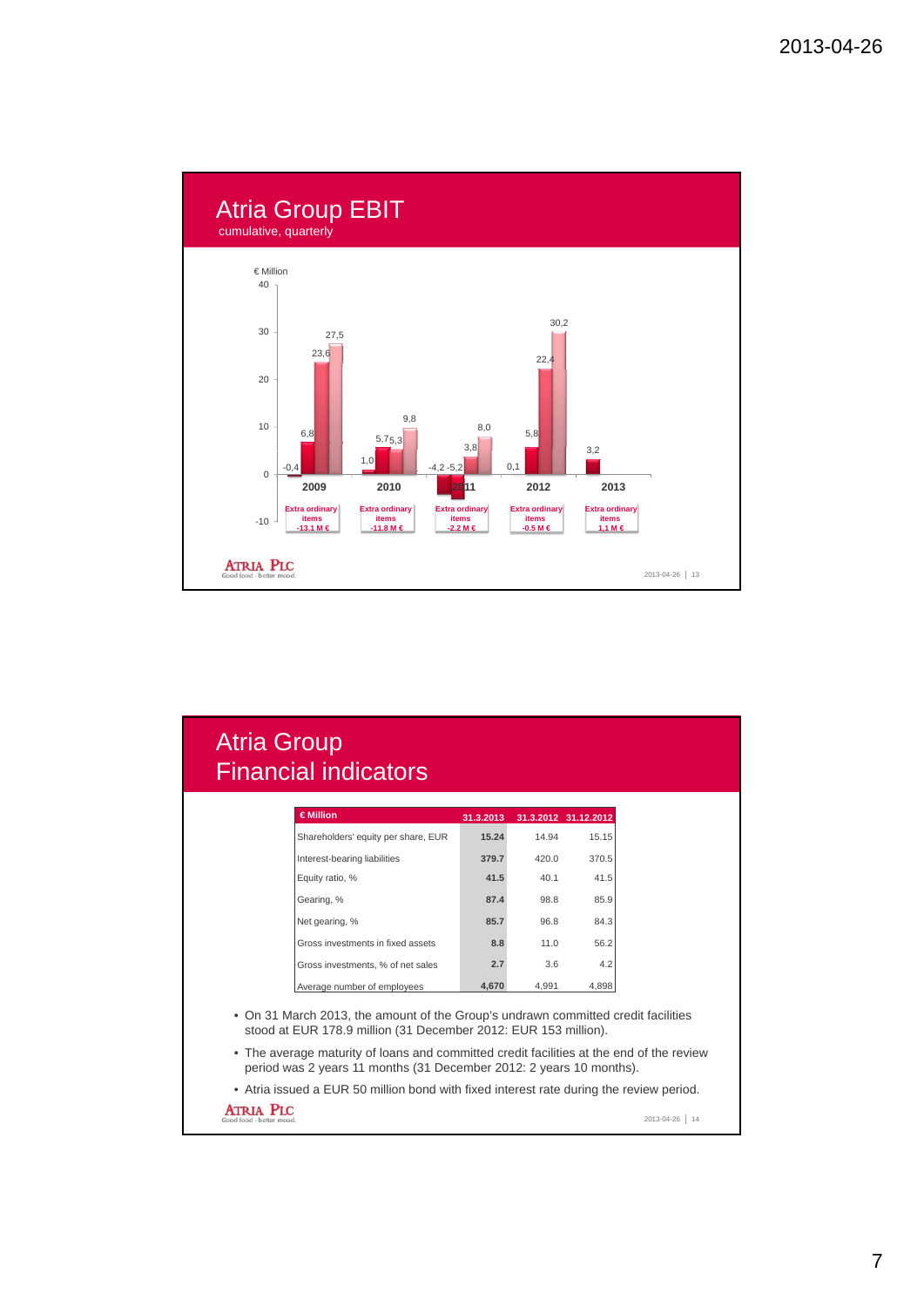

### Atria Group Financial indicators

| €Million                            | 31.3.2013 |       | 31.3.2012 31.12.2012 |
|-------------------------------------|-----------|-------|----------------------|
| Shareholders' equity per share, EUR | 15.24     | 14.94 | 15.15                |
| Interest-bearing liabilities        | 379.7     | 420.0 | 370.5                |
| Equity ratio, %                     | 41.5      | 40.1  | 41.5                 |
| Gearing, %                          | 87.4      | 98.8  | 85.9                 |
| Net gearing, %                      | 85.7      | 96.8  | 84.3                 |
| Gross investments in fixed assets   | 8.8       | 11.0  | 56.2                 |
| Gross investments, % of net sales   | 2.7       | 3.6   | 4.2                  |
| Average number of employees         | 4.670     | 4.991 | 4,898                |

- On 31 March 2013, the amount of the Group's undrawn committed credit facilities stood at EUR 178.9 million (31 December 2012: EUR 153 million).
- The average maturity of loans and committed credit facilities at the end of the review period was 2 years 11 months (31 December 2012: 2 years 10 months).

• Atria issued a EUR 50 million bond with fixed interest rate during the review period.<br>ATRIA PLC<br>  $\frac{\text{ATRIA}}{\text{Good total} + \text{between} \text{mod}}$ 

2013-04-26 14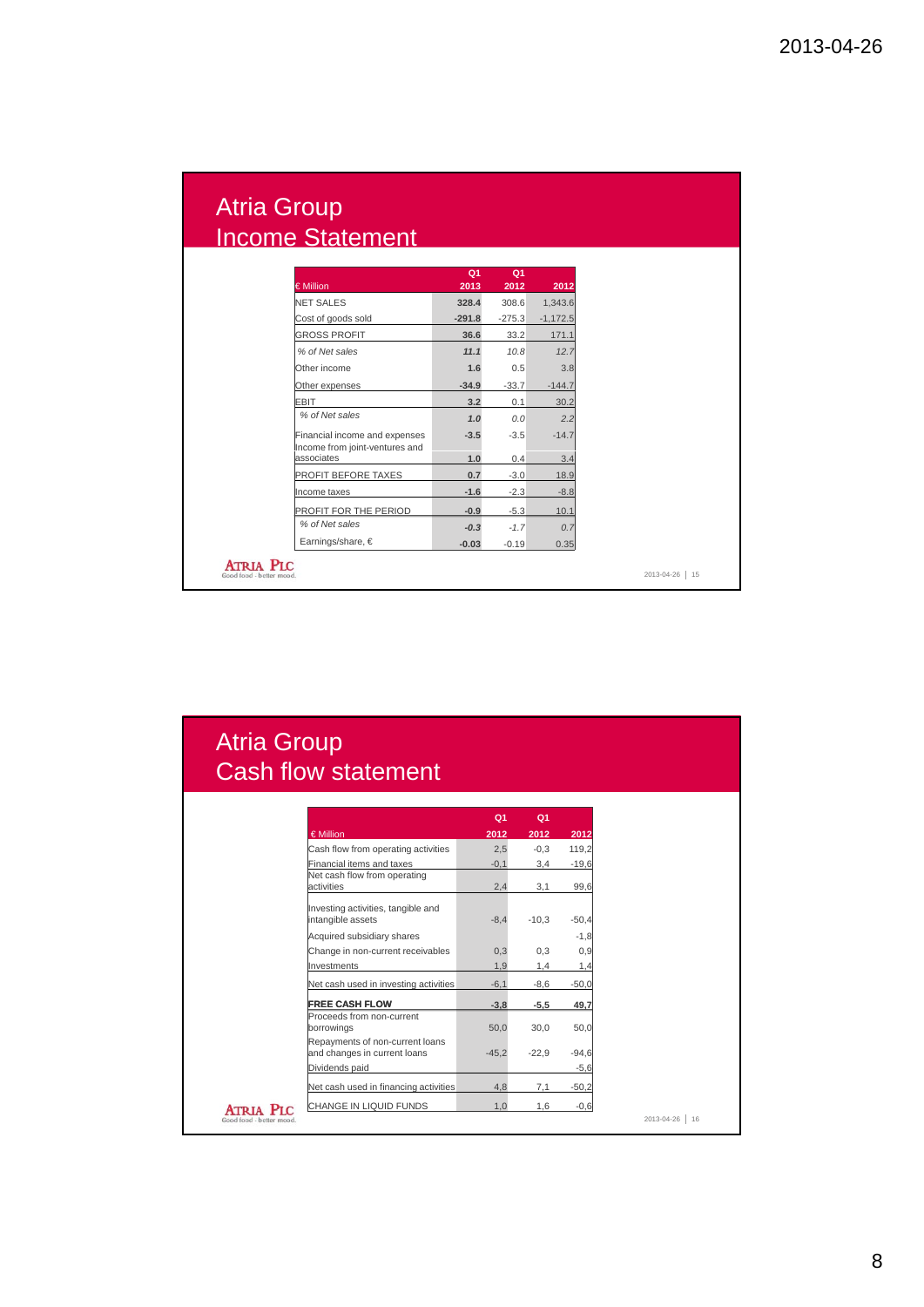# Atria Group Income Statement

|                                                                 | Q <sub>1</sub> | Q <sub>1</sub> |            |
|-----------------------------------------------------------------|----------------|----------------|------------|
| € Million                                                       | 2013           | 2012           | 2012       |
| <b>NET SALES</b>                                                | 328.4          | 308.6          | 1,343.6    |
| Cost of goods sold                                              | $-291.8$       | $-275.3$       | $-1,172.5$ |
| <b>GROSS PROFIT</b>                                             | 36.6           | 33.2           | 171.1      |
| % of Net sales                                                  | 11.1           | 10.8           | 12.7       |
| Other income                                                    | 1.6            | 0.5            | 3.8        |
| Other expenses                                                  | $-34.9$        | $-33.7$        | $-144.7$   |
| <b>EBIT</b>                                                     | 3.2            | 0.1            | 30.2       |
| % of Net sales                                                  | 1.0            | 0.0            | 2.2        |
| Financial income and expenses<br>Income from joint-ventures and | $-3.5$         | $-3.5$         | $-14.7$    |
| associates                                                      | 1.0            | 0.4            | 3.4        |
| PROFIT BEFORE TAXES                                             | 0.7            | $-3.0$         | 18.9       |
| Income taxes                                                    | $-1.6$         | $-2.3$         | $-8.8$     |
| PROFIT FOR THE PERIOD                                           | $-0.9$         | $-5.3$         | 10.1       |
| % of Net sales                                                  | $-0.3$         | $-1.7$         | 0.7        |
| Earnings/share, €                                               | $-0.03$        | $-0.19$        | 0.35       |

#### Atria Group Cash flow statement

|                                                                 | Q <sub>1</sub> | Q <sub>1</sub> |         |
|-----------------------------------------------------------------|----------------|----------------|---------|
| € Million                                                       | 2012           | 2012           | 2012    |
| Cash flow from operating activities                             | 2,5            | $-0,3$         | 119,2   |
| Financial items and taxes                                       | $-0,1$         | 3,4            | $-19,6$ |
| Net cash flow from operating<br>activities                      | 2,4            | 3,1            | 99,6    |
| Investing activities, tangible and<br>intangible assets         | $-8.4$         | $-10.3$        | $-50,4$ |
| Acquired subsidiary shares                                      |                |                | $-1,8$  |
| Change in non-current receivables                               | 0.3            | 0.3            | 0,9     |
| Investments                                                     | 1,9            | 1,4            | 1,4     |
| Net cash used in investing activities                           | $-6,1$         | $-8,6$         | $-50,0$ |
| <b>FREE CASH FLOW</b>                                           | $-3,8$         | $-5,5$         | 49,7    |
| Proceeds from non-current<br>borrowings                         | 50,0           | 30,0           | 50,0    |
| Repayments of non-current loans<br>and changes in current loans | $-45,2$        | $-22.9$        | $-94,6$ |
| Dividends paid                                                  |                |                | $-5,6$  |
| Net cash used in financing activities                           | 4,8            | 7.1            | $-50,2$ |
| CHANGE IN LIQUID FUNDS                                          | 1,0            | 1,6            | $-0,6$  |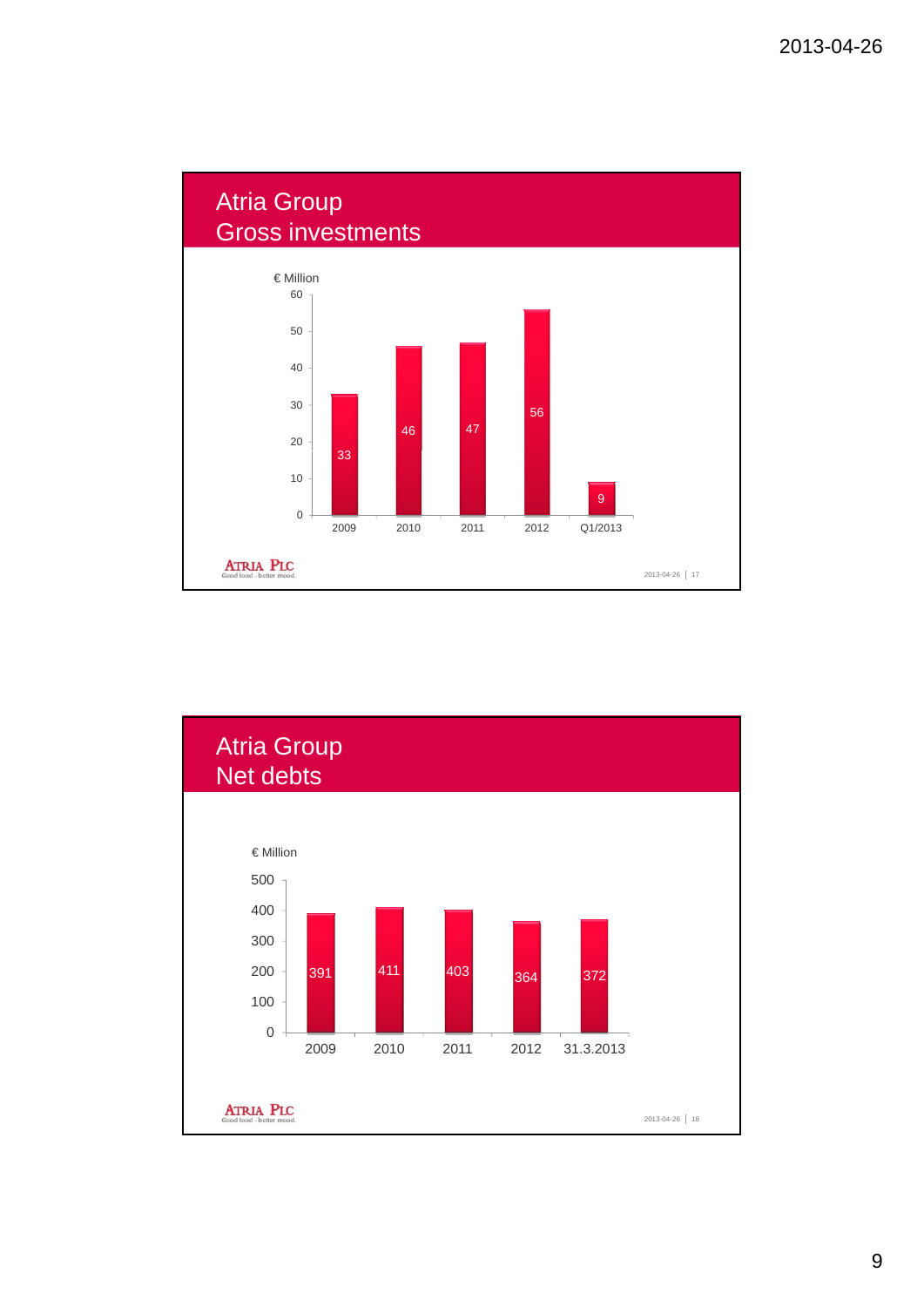

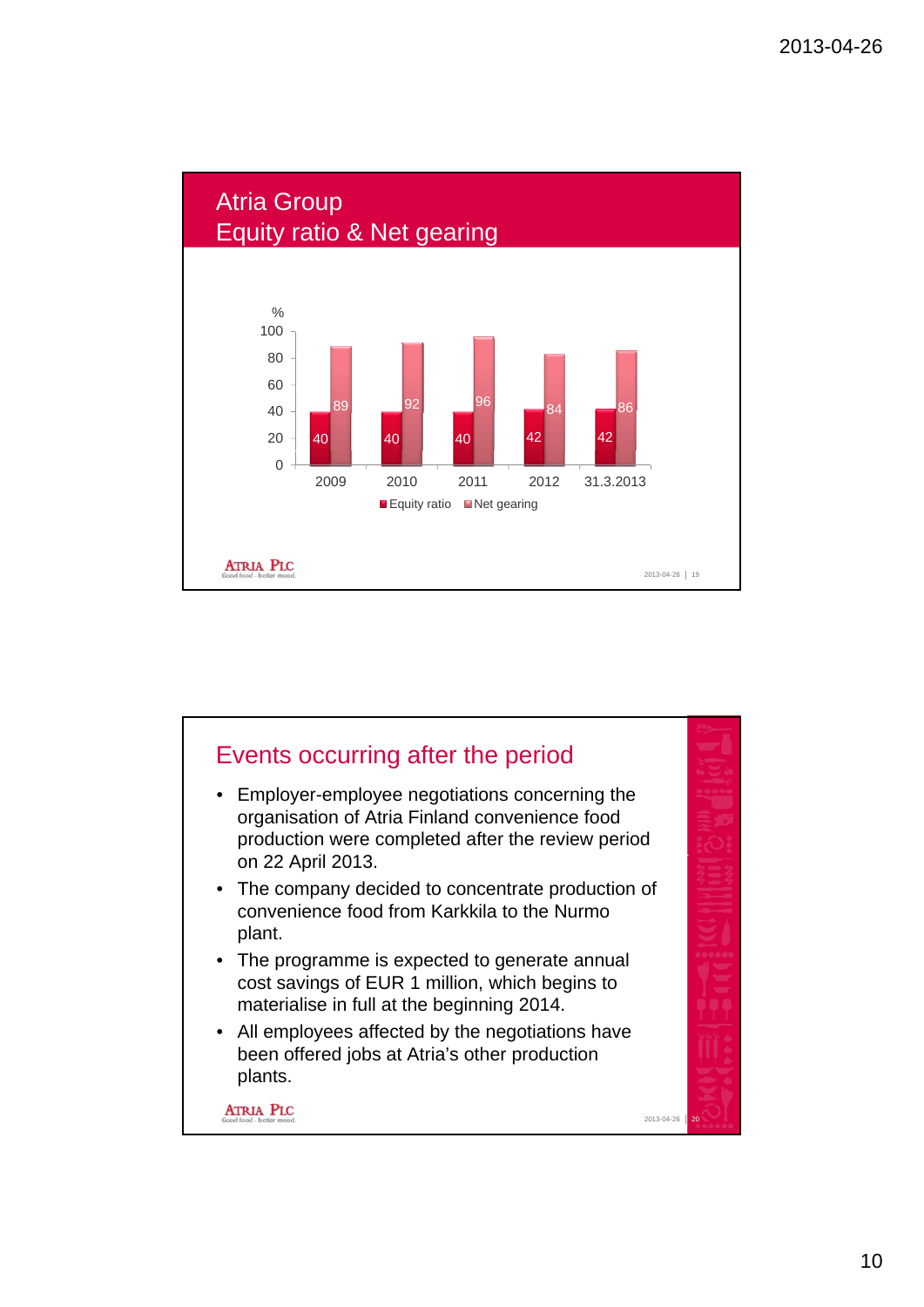